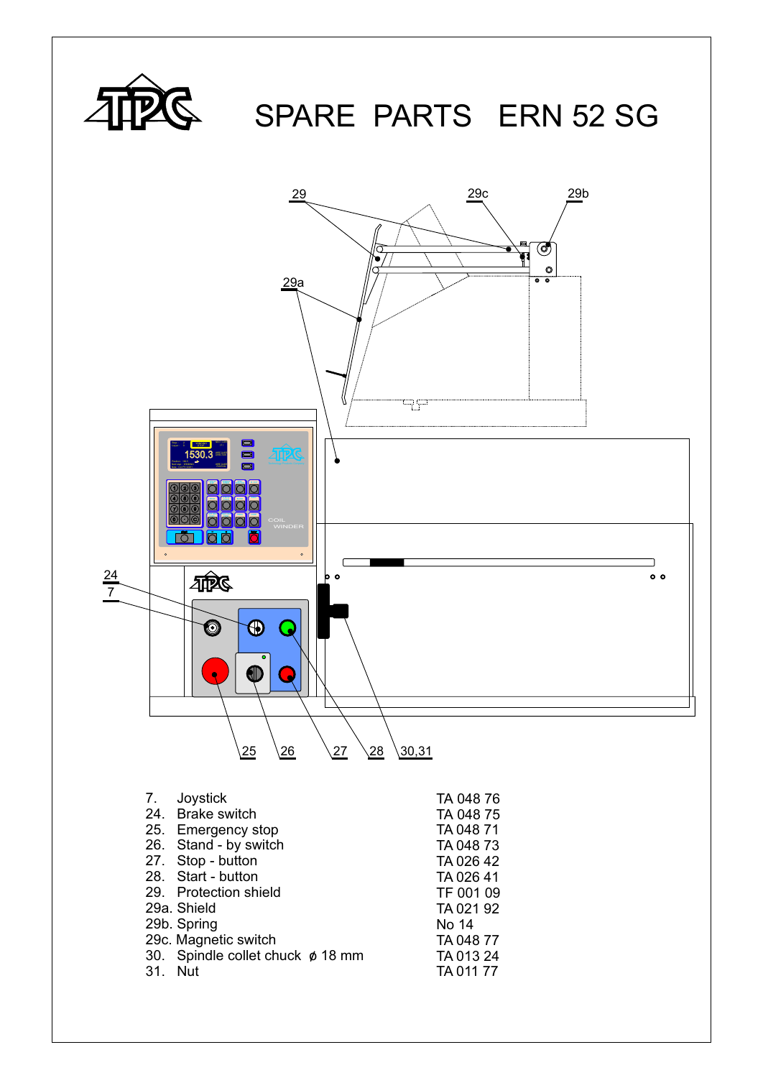

## SPARE PARTS ERN 52 SG

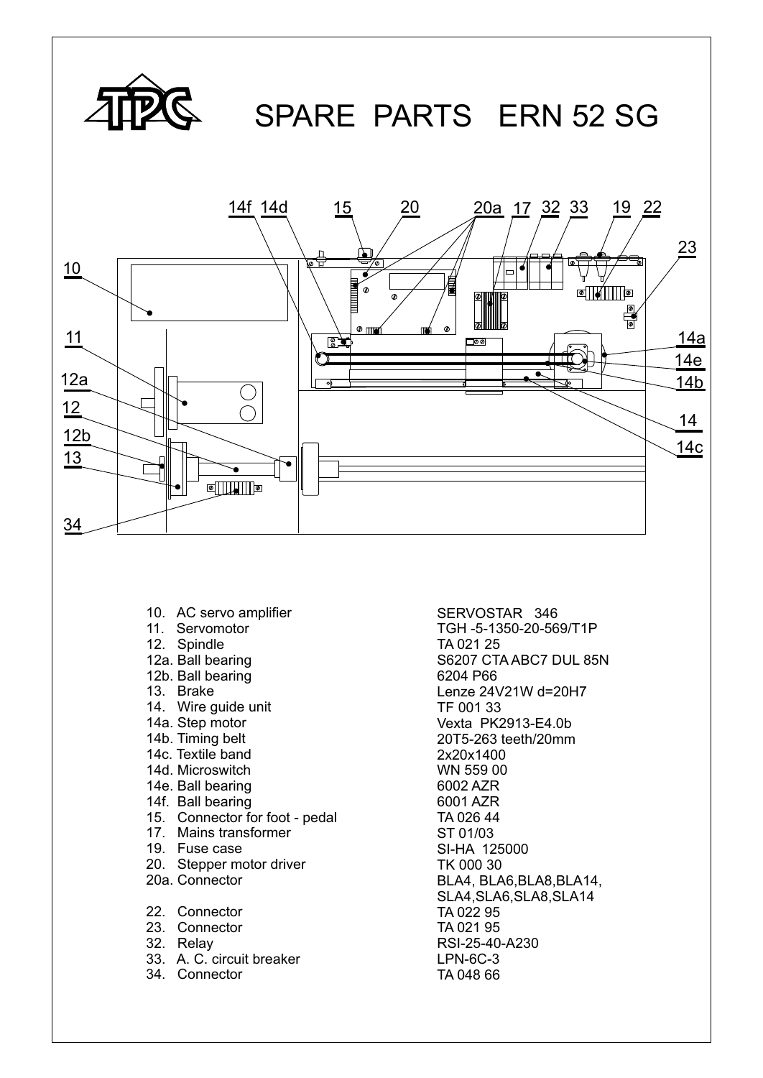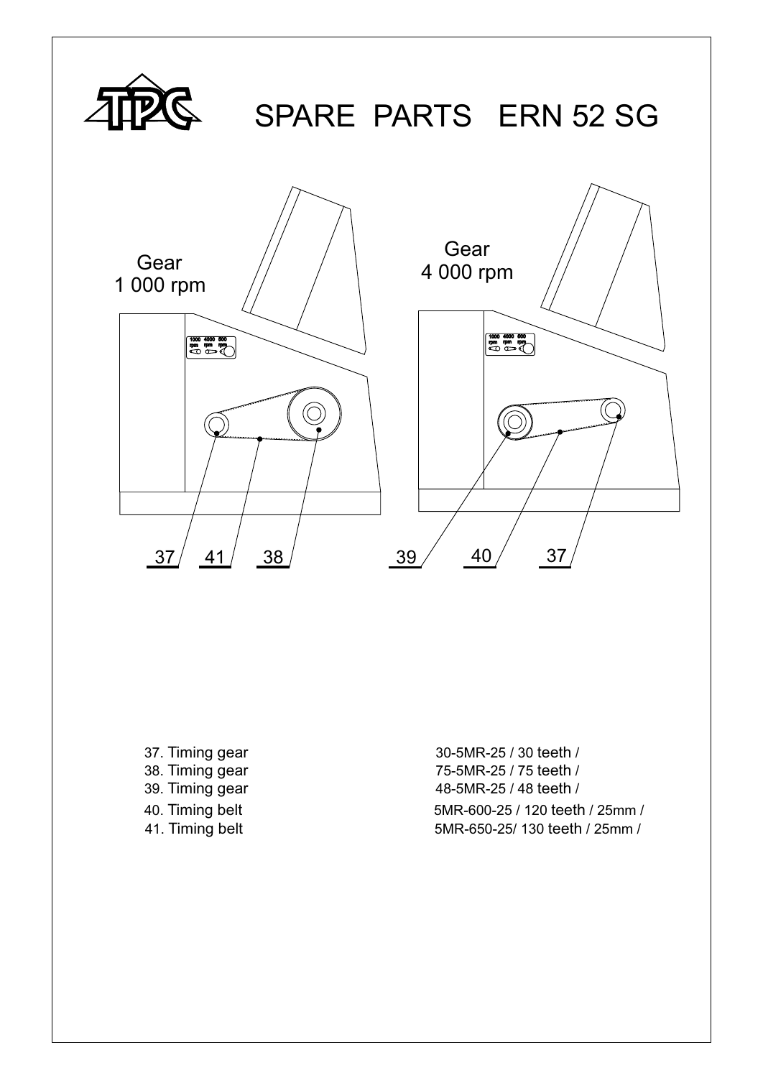

37. Timing gear 30-5MR-25 / 30 teeth / 38. Timing gear 75-5MR-25 / 75 teeth / 39. Timing gear 48-5MR-25 / 48 teeth / 40. Timing belt 5MR-600-25 / 120 teeth / 25mm / 41. Timing belt 5MR-650-25/ 130 teeth / 25mm /